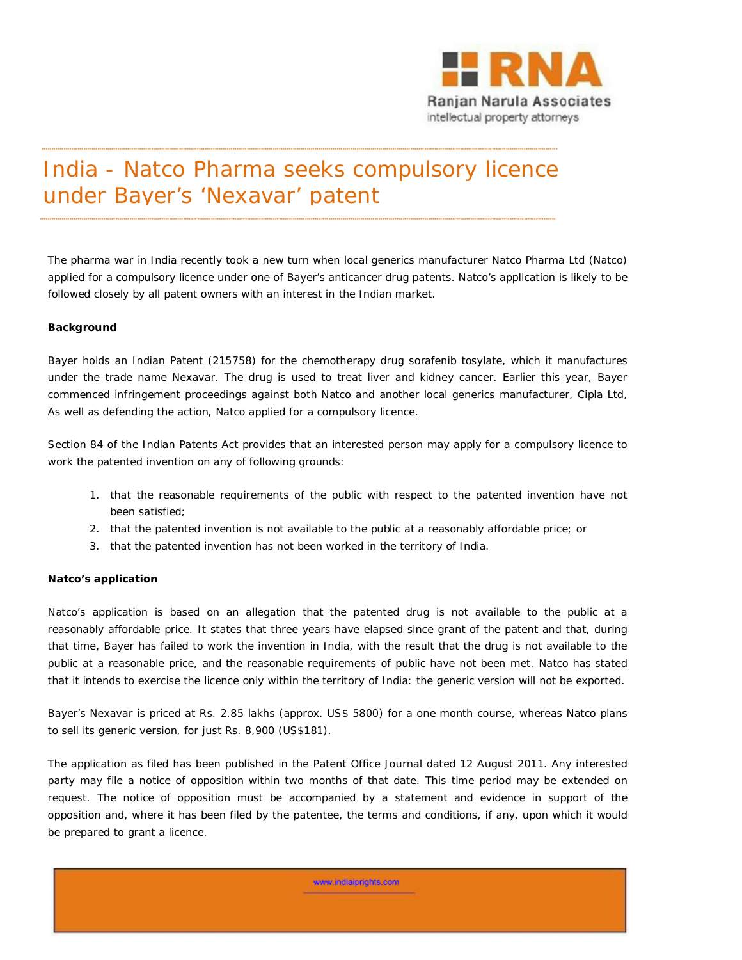

## India - Natco Pharma seeks compulsory licence under Bayer's 'Nexavar' patent

\*\*\*\*\*\*\*\*\*\*\*\*\*\*\*\*\*\*\*\*\*\*\*\*\*\*\*\*\*\*\*\*\*\*\*\*\*\*\*\*\*\*\*\*\*\*\*\*\*\*\*\*\*\*\*\*\*\*\*\*\*\*\*\*\*\*\*\*\*\*\*\*\*\*\*\*\*\*\*\*\*\*\*\*\*\*\*\*\*\*\*\*\*\*\*\*\*\*\*\*\*\*\*\*\*\*\*\*\*\*\*\*\*\*\*\*\*\*\*\*\*\*\*\*\*\*\*\*\*\*\*\*\*\*\*\*\*\*\*\*\*\*\*\*\*\*\*\*\*\*\*\*\*\*\*\*\*\*\*\*\*\*\*\*\*\*\*\*\*\*\*\*\*\*\*\*\*\*\*\*\*\*\*\*\*\*\*\*\*\*\*\*\*\*\*\*\*\*\*\*\*\*\*\*\*\*\*\*\*\*\*\*\*\*\*\*\*\*\*\*\*\*\*\*\*\*\*\*\*\*\*\*\*\*\*\*\*\*\*\*\*\*\*\*\*\*\*\*\*\*\*\*\*\*\*\*\*\*\*

\*\*\*\*\*\*\*\*\*\*\*\*\*\*\*\*\*\*\*\*\*\*\*\*\*\*\*\*\*\*\*\*\*\*\*\*\*\*\*\*\*\*\*\*\*\*\*\*\*\*\*\*\*\*\*\*\*\*\*\*\*\*\*\*\*\*\*\*\*\*\*\*\*\*\*\*\*\*\*\*\*\*\*\*\*\*\*\*\*\*\*\*\*\*\*\*\*\*\*\*\*\*\*\*\*\*\*\*\*\*\*\*\*\*\*\*\*\*\*\*\*\*\*\*\*\*\*\*\*\*\*\*\*\*\*\*\*\*\*\*\*\*\*\*\*\*\*\*\*\*\*\*\*\*\*\*\*\*\*\*\*\*\*\*\*\*\*\*\*\*\*\*\*\*\*\*\*\*\*\*\*\*\*\*\*\*\*\*\*\*\*\*\*\*\*\*\*\*\*\*\*\*\*\*\*\*\*\*\*\*\*\*\*\*\*\*\*\*\*\*\*\*\*\*\*\*\*\*\*\*\*\*\*\*\*\*\*\*\*\*\*\*\*\*\*\*\*\*\*\*\*\*\*\*\*\*\*\*\*

The pharma war in India recently took a new turn when local generics manufacturer Natco Pharma Ltd (Natco) applied for a compulsory licence under one of Bayer's anticancer drug patents. Natco's application is likely to be followed closely by all patent owners with an interest in the Indian market.

## **Background**

Bayer holds an Indian Patent (215758) for the chemotherapy drug sorafenib tosylate, which it manufactures under the trade name Nexavar. The drug is used to treat liver and kidney cancer. Earlier this year, Bayer commenced infringement proceedings against both Natco and another local generics manufacturer, Cipla Ltd, As well as defending the action, Natco applied for a compulsory licence.

Section 84 of the Indian *Patents Act* provides that an interested person may apply for a compulsory licence to work the patented invention on any of following grounds:

- 1. that the reasonable requirements of the public with respect to the patented invention have not been satisfied;
- 2. that the patented invention is not available to the public at a reasonably affordable price; or
- 3. that the patented invention has not been worked in the territory of India.

## **Natco's application**

Natco's application is based on an allegation that the patented drug is not available to the public at a reasonably affordable price. It states that three years have elapsed since grant of the patent and that, during that time, Bayer has failed to work the invention in India, with the result that the drug is not available to the public at a reasonable price, and the reasonable requirements of public have not been met. Natco has stated that it intends to exercise the licence only within the territory of India: the generic version will not be exported.

Bayer's Nexavar is priced at Rs. 2.85 lakhs (approx. US\$ 5800) for a one month course, whereas Natco plans to sell its generic version, for just Rs. 8,900 (US\$181).

The application as filed has been published in the Patent Office Journal dated 12 August 2011. Any interested party may file a notice of opposition within two months of that date. This time period may be extended on request. The notice of opposition must be accompanied by a statement and evidence in support of the opposition and, where it has been filed by the patentee, the terms and conditions, if any, upon which it would be prepared to grant a licence.

www.indiaiorights.com